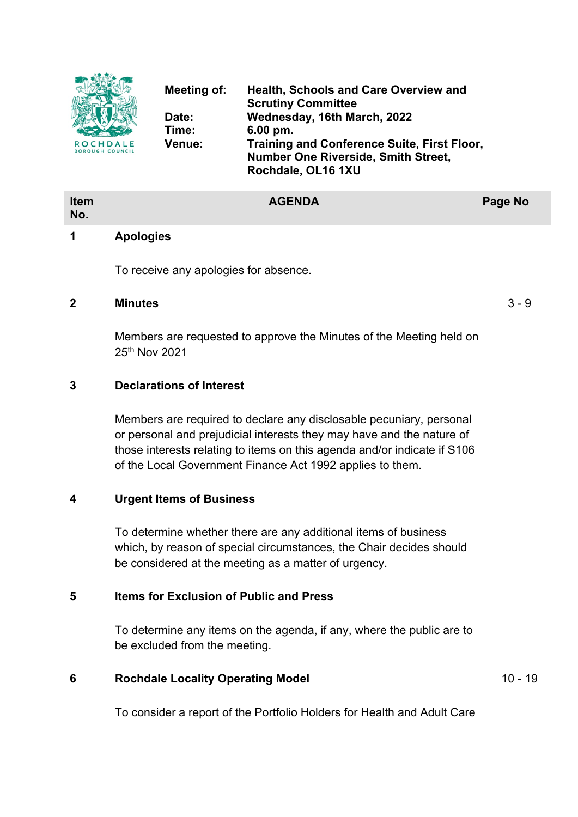

| <b>Item</b><br>No. |   | <b>AGENDA</b> |  | <b>Page No</b> |
|--------------------|---|---------------|--|----------------|
| $\sim$ $\sim$      | . |               |  |                |

### **1 Apologies**

To receive any apologies for absence.

### **2 Minutes** 3 - 9

Members are requested to approve the Minutes of the Meeting held on 25th Nov 2021

## **3 Declarations of Interest**

Members are required to declare any disclosable pecuniary, personal or personal and prejudicial interests they may have and the nature of those interests relating to items on this agenda and/or indicate if S106 of the Local Government Finance Act 1992 applies to them.

### **4 Urgent Items of Business**

To determine whether there are any additional items of business which, by reason of special circumstances, the Chair decides should be considered at the meeting as a matter of urgency.

# **5 Items for Exclusion of Public and Press**

To determine any items on the agenda, if any, where the public are to be excluded from the meeting.

# **6 Rochdale Locality Operating Model** 10 - 19

To consider a report of the Portfolio Holders for Health and Adult Care